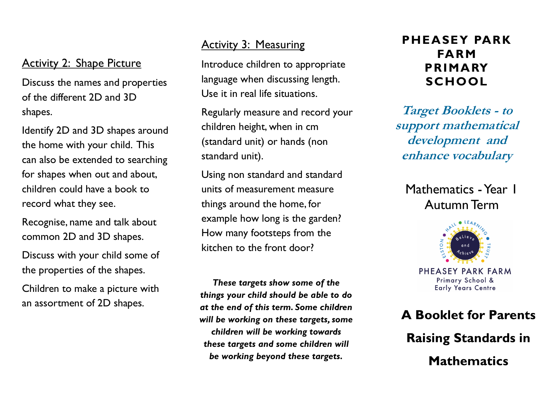#### Activity 2: Shape Picture

Discuss the names and properties of the different 2D and 3D shapes.

Identify 2D and 3D shapes around the home with your child. This can also be extended to searching for shapes when out and about, children could have a book to record what they see.

Recognise, name and talk about common 2D and 3D shapes.

Discuss with your child some of the properties of the shapes.

Children to make a picture with an assortment of 2D shapes.

#### Activity 3: Measuring

Introduce children to appropriate language when discussing length. Use it in real life situations.

Regularly measure and record your children height, when in cm (standard unit) or hands (non standard unit).

Using non standard and standard units of measurement measure things around the home, for example how long is the garden? How many footsteps from the kitchen to the front door?

*These targets show some of the things your child should be able to do at the end of this term. Some children will be working on these targets, some children will be working towards these targets and some children will be working beyond these targets.*

### **PHEASEY PARK FARM PRIMARY SCHOOL**

**Target Booklets - to support mathematical development and enhance vocabulary** 

Mathematics - Year 1 Autumn Term



PHFASFY PARK FARM Primary School & **Early Years Centre** 

## **A Booklet for Parents Raising Standards in Mathematics**